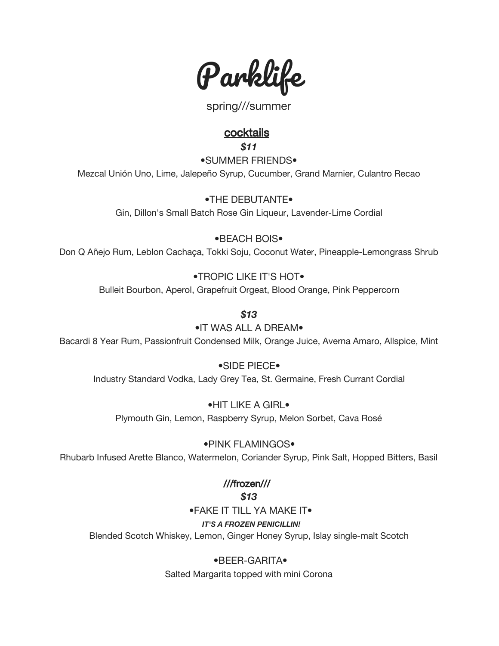

spring///summer

# **cocktails**

*\$11*

•SUMMER FRIENDS• Mezcal Unión Uno, Lime, Jalepeño Syrup, Cucumber, Grand Marnier, Culantro Recao

> •THE DEBUTANTE• Gin, Dillon's Small Batch Rose Gin Liqueur, Lavender-Lime Cordial

•BEACH BOIS• Don Q Añejo Rum, Leblon Cachaça, Tokki Soju, Coconut Water, Pineapple-Lemongrass Shrub

## •TROPIC LIKE IT'S HOT•

Bulleit Bourbon, Aperol, Grapefruit Orgeat, Blood Orange, Pink Peppercorn

*\$13*

# •IT WAS ALL A DREAM•

Bacardi 8 Year Rum, Passionfruit Condensed Milk, Orange Juice, Averna Amaro, Allspice, Mint

## •SIDE PIECE•

Industry Standard Vodka, Lady Grey Tea, St. Germaine, Fresh Currant Cordial

## •HIT LIKE A GIRL•

Plymouth Gin, Lemon, Raspberry Syrup, Melon Sorbet, Cava Rosé

## •PINK FLAMINGOS•

Rhubarb Infused Arette Blanco, Watermelon, Coriander Syrup, Pink Salt, Hopped Bitters, Basil

# ///frozen///

## *\$13*

•FAKE IT TILL YA MAKE IT•

## *IT'S A FROZEN PENICILLIN!*

Blended Scotch Whiskey, Lemon, Ginger Honey Syrup, Islay single-malt Scotch

# •BEER-GARITA•

Salted Margarita topped with mini Corona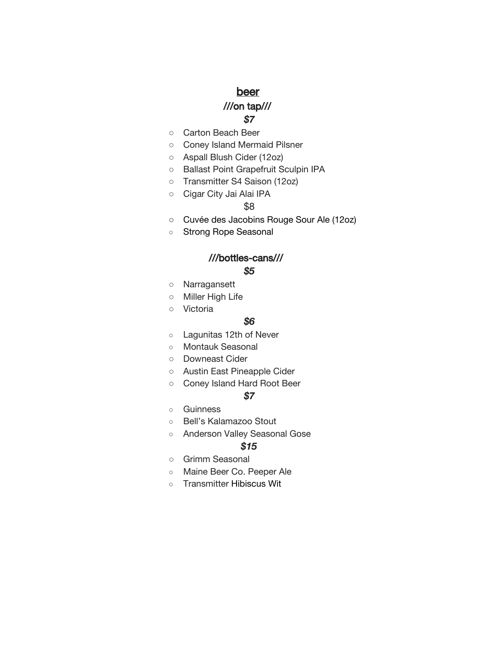# beer

## ///on tap/// *\$7*

- Carton Beach Beer
- Coney Island Mermaid Pilsner
- Aspall Blush Cider (12oz)
- Ballast Point Grapefruit Sculpin IPA
- Transmitter S4 Saison (12oz)
- Cigar City Jai Alai IPA

### \$8

- Cuvée des Jacobins Rouge Sour Ale (12oz)
- Strong Rope Seasonal

### ///bottles-cans///

### *\$5*

- Narragansett
- Miller High Life
- Victoria

#### *\$6*

- Lagunitas 12th of Never
- Montauk Seasonal
- Downeast Cider
- Austin East Pineapple Cider
- Coney Island Hard Root Beer

#### *\$7*

- Guinness
- Bell's Kalamazoo Stout
- Anderson Valley Seasonal Gose

#### *\$15*

- Grimm Seasonal
- Maine Beer Co. Peeper Ale
- Transmitter Hibiscus Wit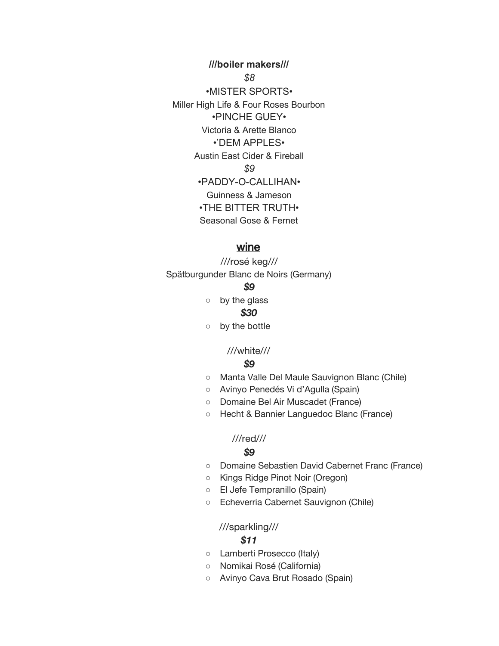**///boiler makers///** *\$8* •MISTER SPORTS• Miller High Life & Four Roses Bourbon •PINCHE GUEY• Victoria & Arette Blanco •'DEM APPLES• Austin East Cider & Fireball *\$9* •PADDY-O-CALLIHAN• Guinness & Jameson •THE BITTER TRUTH• Seasonal Gose & Fernet

### wine

///rosé keg/// Spätburgunder Blanc de Noirs (Germany)

#### *\$9*

○ by the glass *\$30*

○ by the bottle

## ///white///

#### *\$9*

- Manta Valle Del Maule Sauvignon Blanc (Chile)
- Avinyo Penedés Vi d'Agulla (Spain)
- Domaine Bel Air Muscadet (France)
- Hecht & Bannier Languedoc Blanc (France)

### ///red///

#### *\$9*

- Domaine Sebastien David Cabernet Franc (France)
- Kings Ridge Pinot Noir (Oregon)
- El Jefe Tempranillo (Spain)
- Echeverria Cabernet Sauvignon (Chile)

#### ///sparkling///

#### *\$11*

- Lamberti Prosecco (Italy)
- Nomikai Rosé (California)
- Avinyo Cava Brut Rosado (Spain)